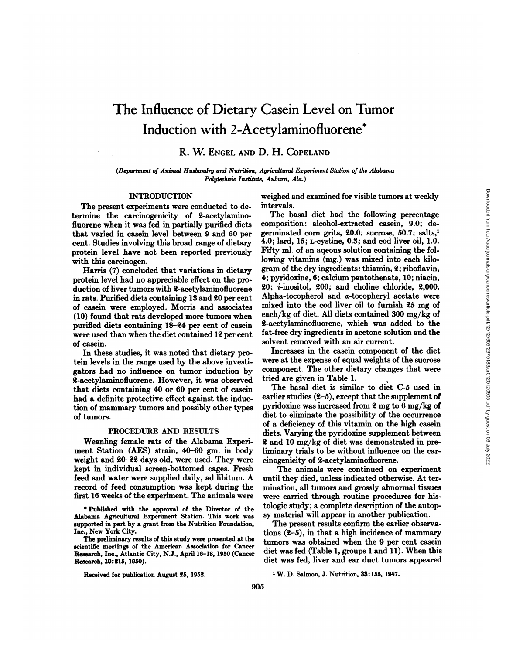# The Influence of Dietary Casein Level on Tumor Induction with 2-Acetylaminofluorene\*

R. W. ENGEL AND D. H. COPELAND

*(Department of Animal Husbandry and Nutrition, Agricultural Experiment Station of the Alabama Polytechnic Institute, Auburn, Ala.}*

## INTRODUCTION

The present experiments were conducted to de termine the carcinogenicity of 2-acetylaminofluorene when it was fed in partially purified diets that varied in casein level between 9 and 60 per cent. Studies involving this broad range of dietary protein level have not been reported previously with this carcinogen.

Harris (7) concluded that variations in dietary protein level had no appreciable effect on the pro duction of liver tumors with 2-acetylaminofluorene in rats.Purified diets containing 13 and 20 per cent of casein were employed. Morris and associates (10) found that rats developed more tumors when purified diets containing 18-24 per cent of casein were used than when the diet contained 12 per cent of casein.

In these studies, it was noted that dietary pro tein levels in the range used by the above investi gators had no influence on tumor induction by 2-acetylaminofluorene. However, it was observed that diets containing 40 or 60 per cent of casein had a definite protective effect against the induc tion of mammary tumors and possibly other types of tumors.

## PROCEDURE AND RESULTS

Weanling female rats of the Alabama Experi ment Station (AES) strain, 40-60 gm. in body weight and 20-22 days old, were used. They were kept in individual screen-bottomed cages. Fresh feed and water were supplied daily, ad libitum. A record of feed consumption was kept during the first 16 weeks of the experiment. The animals were

\* Published with the approval of the Director of the Alabama Agricultural Experiment Station. This work was supported in part by a grant from the Nutrition Foundation, Inc., New York City.

The preliminary results of this study were presented at the scientific meetings of the American Association for Cancer Research, Inc., Atlantic City, N.J., April 16-18, 1950 (Cancer Research, 10:215, 1950).

weighed and examined for visible tumors at weekly intervals.

The basal diet had the following percentage composition: alcohol-extracted casein, 9.0; degerminated corn grits, 20.0; sucrose, 50.7; salts,1 4.0; lard, 15; L-cystine, 0.3; and cod liver oil, 1.0. Fifty ml. of an aqeous solution containing the following vitamins (mg.) was mixed into each kilo gram of the dry ingredients: thiamin, 2; riboflavin, 4; pyridoxine, 6; calcium pantothenate, 10; niacin, 20; i-inositol, 200; and choline chloride, 2,000. Alpha-tocopherol and a-tocopheryl acetate were mixed into the cod liver oil to furnish 25 mg of each/kg of diet. All diets contained 300 mg/kg of 2-acetylaminofluorene, which was added to the fat-free dry ingredients in acetone solution and the solvent removed with an air current.

Increases in the casein component of the diet were at the expense of equal weights of the sucrose component. The other dietary changes that were tried are given in Table 1.

The basal diet is similar to diet C-5 used in earlier studies  $(2-5)$ , except that the supplement of pyridoxine was increased from 2 mg to 6 mg/kg of diet to eliminate the possibility of the occurrence of a deficiency of this vitamin on the high casein diets. Varying the pyridoxine supplement between 2 and 10 mg/kg of diet was demonstrated in pre liminary trials to be without influence on the car cinogenicity of 2-acetylaminofluorene.

The animals were continued on experiment until they died, unless indicated otherwise. At ter mination, all tumors and grossly abnormal tissues were carried through routine procedures for his tologie study ; a complete description of the autop sy material will appear in another publication.

The present results confirm the earlier observa tions  $(2-5)$ , in that a high incidence of mammary tumors was obtained when the 9 per cent casein diet was fed (Table 1, groups 1 and 11). When this diet was fed, liver and ear duct tumors appeared

Received for publication August 25, 1952. 1952. 1W. D. Salmon, J. Nutrition, 33:155, 1947.

Downloaded from http://aacrjournals.org/cancerres/article-pdf/12/12/905/2370183/cr0120120905.pdf by guest on 06 July 2022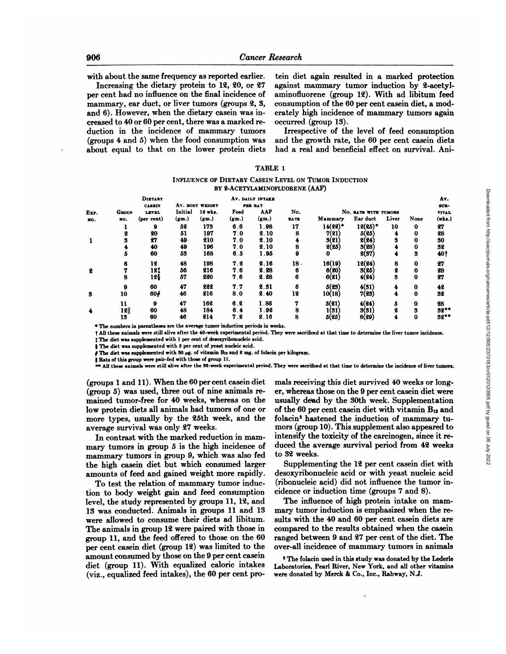with about the same frequency as reported earlier.

Increasing the dietary protein to 12, 20, or 27 per cent had no influence on the final incidence of mammary, ear duct, or liver tumors (groups 2, 3, and 6). However, when the dietary casein was in creased to 40 or 60 per cent, there was a marked re duction in the incidence of mammary tumors (groups 4 and 5) when the food consumption was about equal to that on the lower protein diets tein diet again resulted in a marked protection against mammary tumor induction by 2-acetylaminofluorene (group 12). With ad libitum feed consumption of the 60 per cent casein diet, a mod erately high incidence of mammary tumors again occurred (group 13).

Irrespective of the level of feed consumption and the growth rate, the 60 per cent casein diets had a real and beneficial effect on survival. Ani-

| <b>TABLE</b> |  |
|--------------|--|
|--------------|--|

INFLUENCE OF DIETARY CASEIN LEVEL ON TUMOR INDUCTION BY 2-ACETYLAMINOFLUORENE (AAF)

|      |       | <b>DIETARY</b> |          |                 |          | AV. DAILY INTAKE |             |                       |                      |       |          | Av.     |  |
|------|-------|----------------|----------|-----------------|----------|------------------|-------------|-----------------------|----------------------|-------|----------|---------|--|
|      |       | <b>CASEIN</b>  |          | AV. BODY WEIGHT |          | PER RAT          |             |                       |                      |       |          | SUR-    |  |
| Exp. | Group | LEVEL          | Initial  | 16 wks.         | Feed     | <b>AAF</b>       | No.         |                       | No. RATS WITH TUMORS |       |          | VIVAL   |  |
| NO.  | NO.   | (per cent)     | $(g_m.)$ | (gm.)           | $(g_m.)$ | (gm.)            | <b>RATS</b> | Mammary               | Ear duct             | Liver | None     | (wks.)  |  |
|      |       | 9              | 52       | 173             | 6.6      | 1.98             | 17          | $14(22)$ <sup>*</sup> | $12(25)^*$           | 10    | $\bf{0}$ | 27      |  |
|      |       | 90             | 51       | 197             | 7.0      | 2.10             | 8           | 7(21)                 | 5(25)                | 4     | $\bf{0}$ | 28      |  |
|      |       | 27             | 49       | 210             | 7.0      | 2.10             |             | 3(21)                 | 2(24)                | 3     | 0        | 30      |  |
|      |       | 40             | 49       | 196             | 7.0      | 2.10             | 8           | 2(25)                 | 3(28)                |       | $\bf{0}$ | 32      |  |
|      |       | 60             | 53       | 168             | 6.5      | 1.95             | 9           | o                     | 2(37)                | 4     | 3        | 40†     |  |
|      |       | 12             | 48       | 198             | 7.2      | 2.16             | 18.         | 16(19)                | 12(24)               | 8     | $\bf{0}$ | 27      |  |
| 2    |       | 12‡            | 56       | 216             | 7.6      | 2.28             | 6           | 6(20)                 | 3(25)                |       | 0        | 28      |  |
|      |       | 12§            | 57       | 220             | 7.6      | 2.28             | 6           | 6(21)                 | 4(24)                | 3     | 0        | 27      |  |
|      |       |                |          |                 |          |                  |             |                       |                      |       |          |         |  |
|      | 9     | 60             | 47       | 222             | 7.7      | 2.31             | 6           | 5(23)                 | 4(31)                |       | 0        | 42      |  |
| 3    | 10    | 60#            | 46       | 216             | 8.0      | 2.40             | 12          | 10(18)                | 7(23)                | 4     | $\bf{0}$ | 32      |  |
|      | 11    | 9              | 47       | 162             | 6.2      | 1.86             |             | 5(21)                 | 4(94)                | 5.    | 0        | 28      |  |
| 4    | 12    | 60             | 48       | 184             | 6.4      | 1.92             | 8           | 1(31)                 | 3(31)                |       | м        | $32***$ |  |
|      | 13    | 60             | 46       | 214             | 7.2      | 2.16             | 8           | 5(25)                 | 6(29)                |       | 0        | $32**$  |  |
|      |       |                |          |                 |          |                  |             |                       |                      |       |          |         |  |

\* The numbers in parentheses are the average tumor induction periods in weeks.

t All these animals were still alive after the 40-weekexperimental period. They were sacrificedat that time to determine the liver tumor incidence.

 $\ddagger$  The diet was supplemented with 1 per cent of desoxyribonucleic acid.

§ The diet was supplemented with 5 per cent of yeast nucleic acid.

 $\oint$  The diet was supplemented with 30 µg. of vitamin Bis and 2 mg. of folacin per kilogram.

|| Rats of this group were pair-fed with those of group 11.

\* All these animals were still alive after the 52-week experimental period. They were sacrificed at that time to determine the incidence of liver tumors.

(groups 1 and 11). When the 60 per cent casein diet (group 5) was used, three out of nine animals re mained tumor-free for 40 weeks, whereas on the low protein diets all animals had tumors of one or more types, usually by the 25th week, and the average survival was only 27 weeks.

In contrast with the marked reduction in mam mary tumors in group 5 is the high incidence of mammary tumors in group 9, which was also fed the high casein diet but which consumed larger amounts of feed and gained weight more rapidly.

To test the relation of mammary tumor induc tion to body weight gain and feed consumption level, the study represented by groups 11, 12, and 13 was conducted. Animals in groups 11 and 13 were allowed to consume their diets ad libitum. The animals in group 12 were paired with those in group 11, and the feed offered to those on the 60 per cent casein diet (group 12) was limited to the amount consumed by those on the 9 per cent casein diet (group 11). With equalized caloric intakes (viz., equalized feed intakes), the 60 per cent promals receiving this diet survived 40 weeks or long er, whereas those on the 9 per cent casein diet were usually de'ad by the 30th week. Supplementation of the 60 per cent casein diet with vitamin  $B_{12}$  and folacin<sup>2</sup> hastened the induction of mammary tumors (group 10). This supplement also appeared to intensify the toxicity of the carcinogen, since it re duced the average survival period from 42 weeks to 32 weeks.

Supplementing the 12 per cent casein diet with desoxyribonucleic acid or with yeast nucleic acid (ribonucleic acid) did not influence the tumor incidence or induction time (groups 7 and 8).

The influence of high protein intake on mam mary tumor induction is emphasized when the re sults with the 40 and 60 per cent casein diets are compared to the results obtained when the casein ranged between 9 and 27 per cent of the diet. The over-all incidence of mammary tumors in animals

*<sup>1</sup>The folacin used in this study was donated by the Lederle* Laboratories, Pearl River, New York, and all other vitamins were donated by Merck & Co., Inc., Rahway, N.J.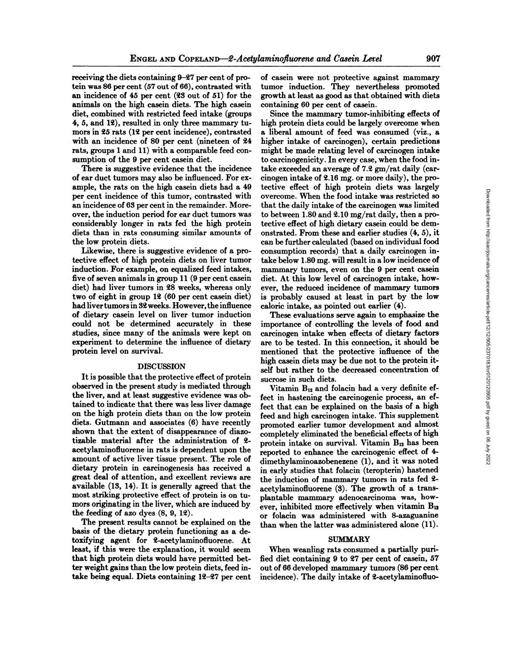receiving the diets containing 9-27 per cent of pro tein was 86 per cent (57 out of 66), contrasted with an incidence of 45 per cent (23 out of 51) for the animals on the high casein diets. The high casein diet, combined with restricted feed intake (groups 4, 5, and 12), resulted in only three mammary tu mors in 25 rats (12 per cent incidence), contrasted with an incidence of 80 per cent (nineteen of 24 rats, groups 1 and 11) with a comparable feed con sumption of the 9 per cent casein diet.

There is suggestive evidence that the incidence of ear duct tumors may also be influenced. For ex ample, the rats on the high casein diets had a 49 per cent incidence of this tumor, contrasted with an incidence of 63 per cent in the remainder. More over, the induction period for ear duct tumors was considerably longer in rats fed the high protein diets than in rats consuming similar amounts of the low protein diets.

Likewise, there is suggestive evidence of a pro tective effect of high protein diets on liver tumor induction. For example, on equalized feed intakes, five of seven animals in group 11 (9 per cent casein diet) had liver tumors in 28 weeks, whereas only two of eight in group  $12$  (60 per cent casein diet) had liver tumors in 32 weeks. However, the influence of dietary casein level on liver tumor induction could not be determined accurately in these studies, since many of the animals were kept on experiment to determine the influence of dietary protein level on survival.

# DISCUSSION

It is possible that the protective effect of protein observed in the present study is mediated through the liver, and at least suggestive evidence was ob tained to indicate that there was less liver damage on the high protein diets than on the low protein diets. Gutmann and associates (6) have recently shown that the extent of disappearance of diazotizable material after the administration of 2 acetylaminofluorene in rats is dependent upon the amount of active liver tissue present. The role of dietary protein in carcinogenesis has received a great deal of attention, and excellent reviews are available (13, 14). It is generally agreed that the most striking protective effect of protein is on tu mors originating in the liver, which are induced by the feeding of azo dyes (8, 9, 12).

The present results cannot be explained on the basis of the dietary protein functioning as a de toxifying agent for 2-acetylaminofluorene. At least, if this were the explanation, it would seem that high protein diets would have permitted bet ter weight gains than the low protein diets, feed in take being equal. Diets containing 12-27 per cent of casein were not protective against mammary tumor induction. They nevertheless promoted growth at least as good as that obtained with diets containing 60 per cent of casein.

Since the mammary tumor-inhibiting effects of high protein diets could be largely overcome when a liberal amount of feed was consumed (viz., a higher intake of carcinogen), certain predictions might be made relating level of carcinogen intake to carcinogenicity. In every case, when the food in take exceeded an average of 7.2 gm/rat daily (car cinogen intake of 2.16 mg. or more daily), the pro tective effect of high protein diets was largely overcome. When the food intake was restricted so that the daily intake of the carcinogen was limited to between 1.80 and 2.10 mg/rat daily, then a pro tective effect of high dietary casein could be dem onstrated. From theseand earlier studies (4, 5), it can be further calculated (based on individual food consumption records) that a daily carcinogen in take below 1.80 mg. will result in a low incidence of mammary tumors, even on the 9 per cent casein diet. At this low level of carcinogen intake, how ever, the reduced incidence of mammary tumors is probably caused at least in part by the low caloric intake, as pointed out earlier (4).

These evaluations serve again to emphasize the importance of controlling the levels of food and carcinogen intake when effects of dietary factors are to be tested. In this connection, it should be mentioned that the protective influence of the high casein diets may be due not to the protein it self but rather to the decreased concentration of sucrose in such diets.

Vitamin  $B_{12}$  and folacin had a very definite effect in hastening the carcinogenic process, an ef fect that can be explained on the basis of a high feed and high carcinogen intake. This supplement promoted earlier tumor development and almost completely eliminated the beneficial effects of high protein intake on survival. Vitamin  $B_{12}$  has been reported to enhance the carcinogenic effect of 4 dimethylaminoazobenezene (1), and it was noted in early studies that folacin (teropterin) hastened the induction of mammary tumors in rats fed 2 acetylaminofluorene (3). The growth of a transplantable mammary adenocarcinoma was, how ever, inhibited more effectively when vitamin  $B_{12}$ or folacin was administered with 8-azaguanine than when the latter was administered alone (11).

# SUMMARY

When weanling rats consumed a partially puri fied diet containing 9 to 27 per cent of casein, 57 out of 66 developed mammary tumors (86 per cent incidence). The daily intake of 2-acetylaminofluo-